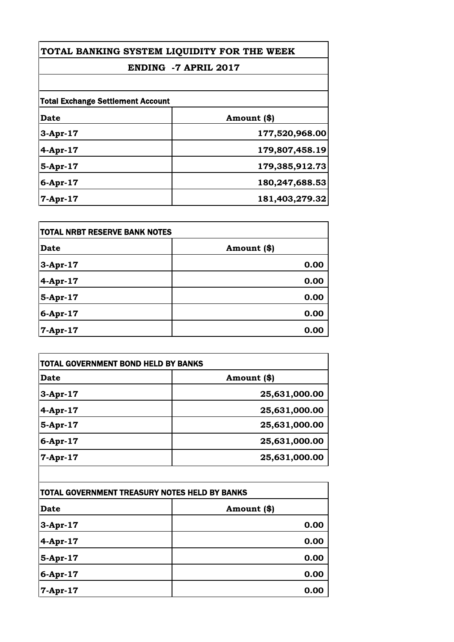# **ENDING -7 APRIL 2017**

| Date        | Amount (\$)    |
|-------------|----------------|
| $3-Apr-17$  | 177,520,968.00 |
| $4-Apr-17$  | 179,807,458.19 |
| 5-Apr-17    | 179,385,912.73 |
| $6$ -Apr-17 | 180,247,688.53 |
| $7-Apr-17$  | 181,403,279.32 |

| <b>TOTAL NRBT RESERVE BANK NOTES</b> |             |
|--------------------------------------|-------------|
| <b>Date</b>                          | Amount (\$) |
| $3-Apr-17$                           | 0.00        |
| 4-Apr-17                             | 0.00        |
| $5$ -Apr-17                          | 0.00        |
| 6-Apr-17                             | 0.00        |
| 7-Apr-17                             | 0.00        |

| Date       | Amount (\$)   |
|------------|---------------|
| $3-Apr-17$ | 25,631,000.00 |
| $4-Apr-17$ | 25,631,000.00 |
| 5-Apr-17   | 25,631,000.00 |
| 6-Apr-17   | 25,631,000.00 |
| $7-Apr-17$ | 25,631,000.00 |

| TOTAL GOVERNMENT TREASURY NOTES HELD BY BANKS |             |
|-----------------------------------------------|-------------|
| Date                                          | Amount (\$) |
| $3-Apr-17$                                    | 0.00        |
| $4-Apr-17$                                    | 0.00        |
| $5-Apr-17$                                    | 0.00        |
| 6-Apr-17                                      | 0.00        |
| 7-Apr-17                                      | 0.00        |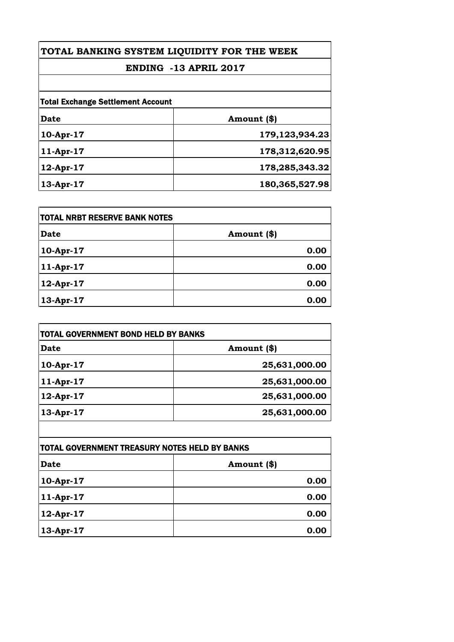# **ENDING -13 APRIL 2017**

| Date         | Amount (\$)       |
|--------------|-------------------|
|              |                   |
| 10-Apr-17    | 179, 123, 934. 23 |
| $11-Apr-17$  | 178,312,620.95    |
| $12$ -Apr-17 | 178,285,343.32    |
| $13$ -Apr-17 | 180,365,527.98    |

| <b>ITOTAL NRBT RESERVE BANK NOTES</b> |             |
|---------------------------------------|-------------|
| Date                                  | Amount (\$) |
| 10-Apr-17                             | 0.00        |
| 11-Apr-17                             | 0.00        |
| 12-Apr-17                             | 0.00        |
| 13-Apr-17                             | 0.00        |

| TOTAL GOVERNMENT BOND HELD BY BANKS |               |
|-------------------------------------|---------------|
| Date                                | Amount (\$)   |
| $10-Apr-17$                         | 25,631,000.00 |
| $11-Apr-17$                         | 25,631,000.00 |
| $12$ -Apr-17                        | 25,631,000.00 |
| 13-Apr-17                           | 25,631,000.00 |

| <b>TOTAL GOVERNMENT TREASURY NOTES HELD BY BANKS</b> |             |
|------------------------------------------------------|-------------|
| Date                                                 | Amount (\$) |
| 10-Apr-17                                            | 0.00        |
| 11-Apr-17                                            | 0.00        |
| 12-Apr-17                                            | 0.00        |
| 13-Apr-17                                            | 0.00        |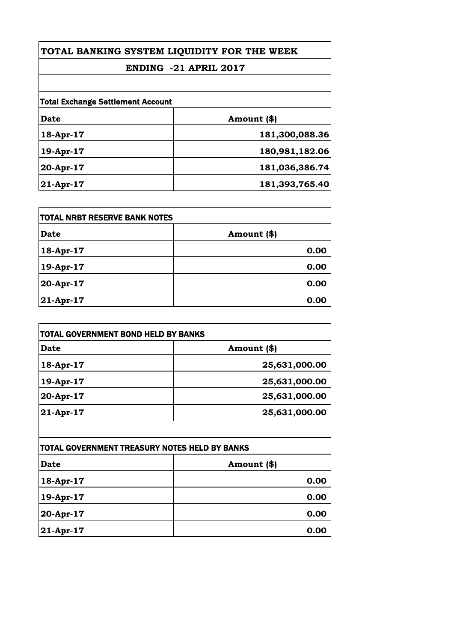# **ENDING -21 APRIL 2017**

| Date      | Amount (\$)    |
|-----------|----------------|
| 18-Apr-17 | 181,300,088.36 |
| 19-Apr-17 | 180,981,182.06 |
| 20-Apr-17 | 181,036,386.74 |
| 21-Apr-17 | 181,393,765.40 |

| <b>TOTAL NRBT RESERVE BANK NOTES</b> |             |
|--------------------------------------|-------------|
| <b>Date</b>                          | Amount (\$) |
| 18-Apr-17                            | 0.00        |
| 19-Apr-17                            | 0.00        |
| 20-Apr-17                            | 0.00        |
| $21-Apr-17$                          | 0.00        |

| <b>Date</b> | Amount (\$)   |  |
|-------------|---------------|--|
| 18-Apr-17   | 25,631,000.00 |  |
| 19-Apr-17   | 25,631,000.00 |  |
| 20-Apr-17   | 25,631,000.00 |  |
| 21-Apr-17   | 25,631,000.00 |  |

| TOTAL GOVERNMENT TREASURY NOTES HELD BY BANKS |             |
|-----------------------------------------------|-------------|
| Date                                          | Amount (\$) |
| 18-Apr-17                                     | 0.00        |
| 19-Apr-17                                     | 0.00        |
| 20-Apr-17                                     | 0.00        |
| $ 21-Apr-17$                                  | 0.00        |